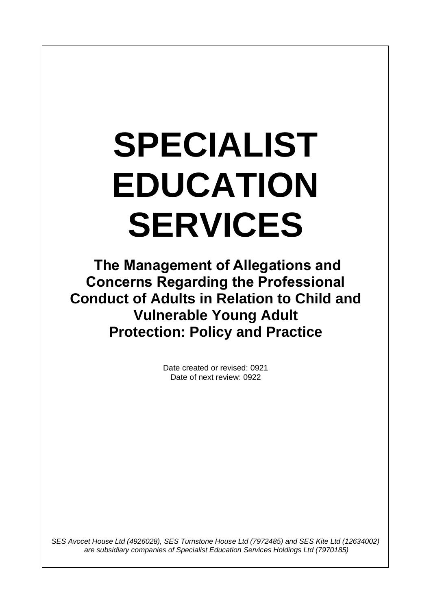# **SPECIALIST EDUCATION SERVICES**

 $\overline{\phantom{a}}$ 

**The Management of Allegations and Concerns Regarding the Professional Conduct of Adults in Relation to Child and Vulnerable Young Adult Protection: Policy and Practice**

> Date created or revised: 0921 Date of next review: 0922

*SES Avocet House Ltd (4926028), SES Turnstone House Ltd (7972485) and SES Kite Ltd (12634002) are subsidiary companies of Specialist Education Services Holdings Ltd (7970185)*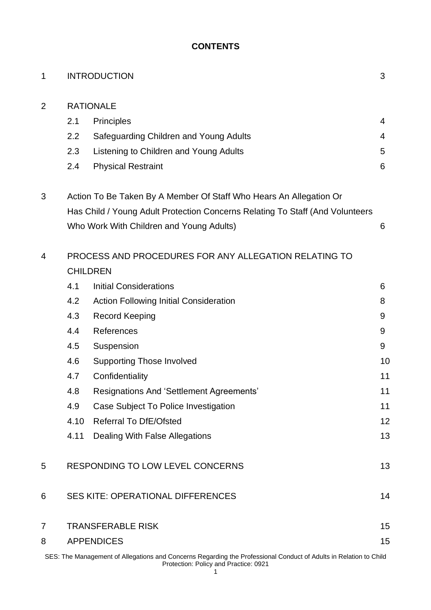# **CONTENTS**

| 1              |                                                                               | <b>INTRODUCTION</b>                           | 3  |  |  |  |
|----------------|-------------------------------------------------------------------------------|-----------------------------------------------|----|--|--|--|
| 2              | <b>RATIONALE</b>                                                              |                                               |    |  |  |  |
|                | 2.1                                                                           | <b>Principles</b>                             | 4  |  |  |  |
|                | 2.2                                                                           | Safeguarding Children and Young Adults        | 4  |  |  |  |
|                | 2.3                                                                           | Listening to Children and Young Adults        | 5  |  |  |  |
|                | 2.4                                                                           | <b>Physical Restraint</b>                     | 6  |  |  |  |
| 3              | Action To Be Taken By A Member Of Staff Who Hears An Allegation Or            |                                               |    |  |  |  |
|                | Has Child / Young Adult Protection Concerns Relating To Staff (And Volunteers |                                               |    |  |  |  |
|                |                                                                               | Who Work With Children and Young Adults)      | 6  |  |  |  |
| 4              | PROCESS AND PROCEDURES FOR ANY ALLEGATION RELATING TO                         |                                               |    |  |  |  |
|                | <b>CHILDREN</b>                                                               |                                               |    |  |  |  |
|                | 4.1                                                                           | <b>Initial Considerations</b>                 | 6  |  |  |  |
|                | 4.2                                                                           | <b>Action Following Initial Consideration</b> | 8  |  |  |  |
|                | 4.3                                                                           | <b>Record Keeping</b>                         | 9  |  |  |  |
|                | 4.4                                                                           | References                                    | 9  |  |  |  |
|                | 4.5                                                                           | Suspension                                    | 9  |  |  |  |
|                | 4.6                                                                           | <b>Supporting Those Involved</b>              | 10 |  |  |  |
|                | 4.7                                                                           | Confidentiality                               | 11 |  |  |  |
|                | 4.8                                                                           | Resignations And 'Settlement Agreements'      | 11 |  |  |  |
|                | 4.9                                                                           | Case Subject To Police Investigation          | 11 |  |  |  |
|                | 4.10                                                                          | <b>Referral To DfE/Ofsted</b>                 | 12 |  |  |  |
|                | 4.11                                                                          | Dealing With False Allegations                | 13 |  |  |  |
| 5              | RESPONDING TO LOW LEVEL CONCERNS                                              |                                               | 13 |  |  |  |
| 6              | <b>SES KITE: OPERATIONAL DIFFERENCES</b>                                      |                                               | 14 |  |  |  |
| $\overline{7}$ | 15<br><b>TRANSFERABLE RISK</b>                                                |                                               |    |  |  |  |
| 8              | <b>APPENDICES</b>                                                             |                                               |    |  |  |  |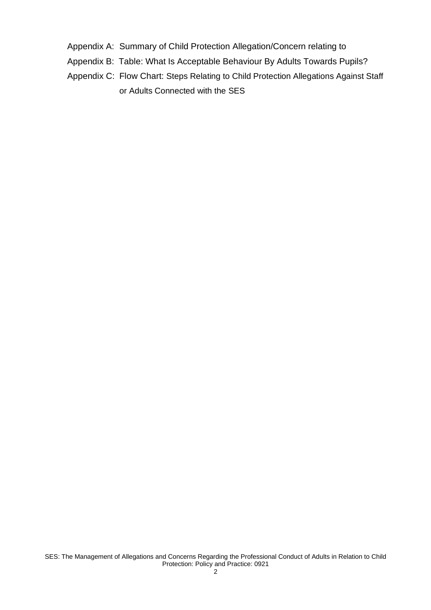- Appendix A: Summary of Child Protection Allegation/Concern relating to
- Appendix B: Table: What Is Acceptable Behaviour By Adults Towards Pupils?
- Appendix C: Flow Chart: Steps Relating to Child Protection Allegations Against Staff or Adults Connected with the SES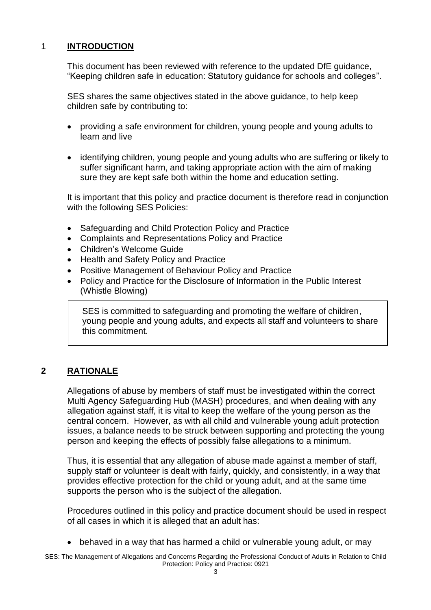# 1 **INTRODUCTION**

This document has been reviewed with reference to the updated DfE guidance, "Keeping children safe in education: Statutory guidance for schools and colleges".

SES shares the same objectives stated in the above guidance, to help keep children safe by contributing to:

- providing a safe environment for children, young people and young adults to learn and live
- identifying children, young people and young adults who are suffering or likely to suffer significant harm, and taking appropriate action with the aim of making sure they are kept safe both within the home and education setting.

It is important that this policy and practice document is therefore read in conjunction with the following SES Policies:

- Safeguarding and Child Protection Policy and Practice
- Complaints and Representations Policy and Practice
- Children's Welcome Guide
- Health and Safety Policy and Practice
- Positive Management of Behaviour Policy and Practice
- Policy and Practice for the Disclosure of Information in the Public Interest (Whistle Blowing)

SES is committed to safeguarding and promoting the welfare of children, young people and young adults, and expects all staff and volunteers to share this commitment.

# **2 RATIONALE**

Allegations of abuse by members of staff must be investigated within the correct Multi Agency Safeguarding Hub (MASH) procedures, and when dealing with any allegation against staff, it is vital to keep the welfare of the young person as the central concern. However, as with all child and vulnerable young adult protection issues, a balance needs to be struck between supporting and protecting the young person and keeping the effects of possibly false allegations to a minimum.

Thus, it is essential that any allegation of abuse made against a member of staff, supply staff or volunteer is dealt with fairly, quickly, and consistently, in a way that provides effective protection for the child or young adult, and at the same time supports the person who is the subject of the allegation.

Procedures outlined in this policy and practice document should be used in respect of all cases in which it is alleged that an adult has:

• behaved in a way that has harmed a child or vulnerable young adult, or may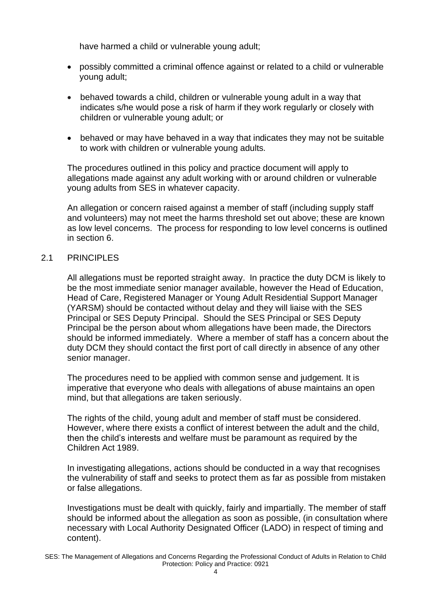have harmed a child or vulnerable young adult;

- possibly committed a criminal offence against or related to a child or vulnerable young adult;
- behaved towards a child, children or vulnerable young adult in a way that indicates s/he would pose a risk of harm if they work regularly or closely with children or vulnerable young adult; or
- behaved or may have behaved in a way that indicates they may not be suitable to work with children or vulnerable young adults.

The procedures outlined in this policy and practice document will apply to allegations made against any adult working with or around children or vulnerable young adults from SES in whatever capacity.

An allegation or concern raised against a member of staff (including supply staff and volunteers) may not meet the harms threshold set out above; these are known as low level concerns. The process for responding to low level concerns is outlined in section 6.

#### 2.1 PRINCIPLES

All allegations must be reported straight away. In practice the duty DCM is likely to be the most immediate senior manager available, however the Head of Education, Head of Care, Registered Manager or Young Adult Residential Support Manager (YARSM) should be contacted without delay and they will liaise with the SES Principal or SES Deputy Principal. Should the SES Principal or SES Deputy Principal be the person about whom allegations have been made, the Directors should be informed immediately. Where a member of staff has a concern about the duty DCM they should contact the first port of call directly in absence of any other senior manager.

The procedures need to be applied with common sense and judgement. It is imperative that everyone who deals with allegations of abuse maintains an open mind, but that allegations are taken seriously.

The rights of the child, young adult and member of staff must be considered. However, where there exists a conflict of interest between the adult and the child, then the child's interests and welfare must be paramount as required by the Children Act 1989.

In investigating allegations, actions should be conducted in a way that recognises the vulnerability of staff and seeks to protect them as far as possible from mistaken or false allegations.

Investigations must be dealt with quickly, fairly and impartially. The member of staff should be informed about the allegation as soon as possible, (in consultation where necessary with Local Authority Designated Officer (LADO) in respect of timing and content).

SES: The Management of Allegations and Concerns Regarding the Professional Conduct of Adults in Relation to Child Protection: Policy and Practice: 0921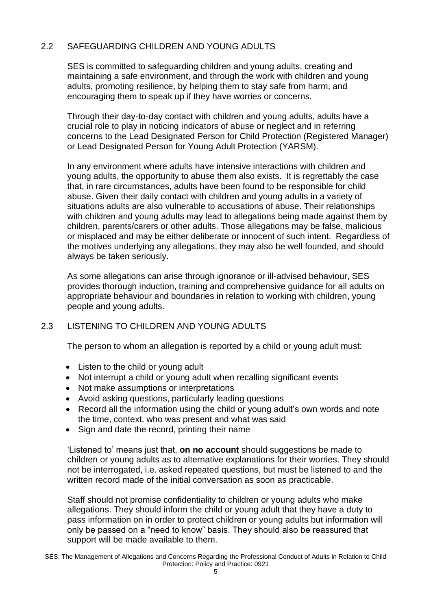# 2.2 SAFEGUARDING CHILDREN AND YOUNG ADULTS

SES is committed to safeguarding children and young adults, creating and maintaining a safe environment, and through the work with children and young adults, promoting resilience, by helping them to stay safe from harm, and encouraging them to speak up if they have worries or concerns.

Through their day-to-day contact with children and young adults, adults have a crucial role to play in noticing indicators of abuse or neglect and in referring concerns to the Lead Designated Person for Child Protection (Registered Manager) or Lead Designated Person for Young Adult Protection (YARSM).

In any environment where adults have intensive interactions with children and young adults, the opportunity to abuse them also exists. It is regrettably the case that, in rare circumstances, adults have been found to be responsible for child abuse. Given their daily contact with children and young adults in a variety of situations adults are also vulnerable to accusations of abuse. Their relationships with children and young adults may lead to allegations being made against them by children, parents/carers or other adults. Those allegations may be false, malicious or misplaced and may be either deliberate or innocent of such intent. Regardless of the motives underlying any allegations, they may also be well founded, and should always be taken seriously.

As some allegations can arise through ignorance or ill-advised behaviour, SES provides thorough induction, training and comprehensive guidance for all adults on appropriate behaviour and boundaries in relation to working with children, young people and young adults.

# 2.3 LISTENING TO CHILDREN AND YOUNG ADULTS

The person to whom an allegation is reported by a child or young adult must:

- Listen to the child or young adult
- Not interrupt a child or young adult when recalling significant events
- Not make assumptions or interpretations
- Avoid asking questions, particularly leading questions
- Record all the information using the child or young adult's own words and note the time, context, who was present and what was said
- Sign and date the record, printing their name

'Listened to' means just that, **on no account** should suggestions be made to children or young adults as to alternative explanations for their worries. They should not be interrogated, i.e. asked repeated questions, but must be listened to and the written record made of the initial conversation as soon as practicable.

Staff should not promise confidentiality to children or young adults who make allegations. They should inform the child or young adult that they have a duty to pass information on in order to protect children or young adults but information will only be passed on a "need to know" basis. They should also be reassured that support will be made available to them.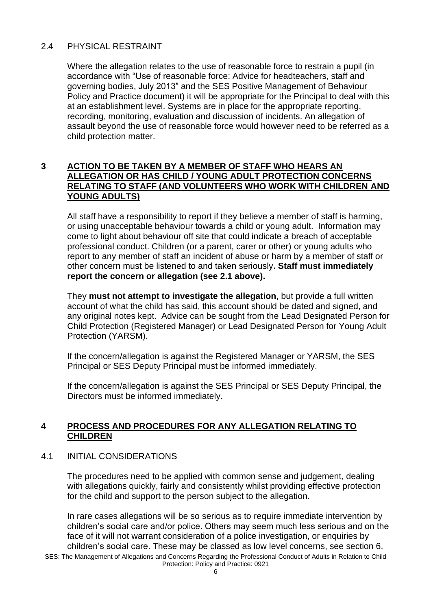# 2.4 PHYSICAL RESTRAINT

Where the allegation relates to the use of reasonable force to restrain a pupil (in accordance with "Use of reasonable force: Advice for headteachers, staff and governing bodies, July 2013" and the SES Positive Management of Behaviour Policy and Practice document) it will be appropriate for the Principal to deal with this at an establishment level. Systems are in place for the appropriate reporting, recording, monitoring, evaluation and discussion of incidents. An allegation of assault beyond the use of reasonable force would however need to be referred as a child protection matter.

#### **3 ACTION TO BE TAKEN BY A MEMBER OF STAFF WHO HEARS AN ALLEGATION OR HAS CHILD / YOUNG ADULT PROTECTION CONCERNS RELATING TO STAFF (AND VOLUNTEERS WHO WORK WITH CHILDREN AND YOUNG ADULTS)**

All staff have a responsibility to report if they believe a member of staff is harming, or using unacceptable behaviour towards a child or young adult. Information may come to light about behaviour off site that could indicate a breach of acceptable professional conduct. Children (or a parent, carer or other) or young adults who report to any member of staff an incident of abuse or harm by a member of staff or other concern must be listened to and taken seriously**. Staff must immediately report the concern or allegation (see 2.1 above).**

They **must not attempt to investigate the allegation**, but provide a full written account of what the child has said, this account should be dated and signed, and any original notes kept. Advice can be sought from the Lead Designated Person for Child Protection (Registered Manager) or Lead Designated Person for Young Adult Protection (YARSM).

If the concern/allegation is against the Registered Manager or YARSM, the SES Principal or SES Deputy Principal must be informed immediately.

If the concern/allegation is against the SES Principal or SES Deputy Principal, the Directors must be informed immediately.

# **4 PROCESS AND PROCEDURES FOR ANY ALLEGATION RELATING TO CHILDREN**

#### 4.1 INITIAL CONSIDERATIONS

The procedures need to be applied with common sense and judgement, dealing with allegations quickly, fairly and consistently whilst providing effective protection for the child and support to the person subject to the allegation.

In rare cases allegations will be so serious as to require immediate intervention by children's social care and/or police. Others may seem much less serious and on the face of it will not warrant consideration of a police investigation, or enquiries by children's social care. These may be classed as low level concerns, see section 6.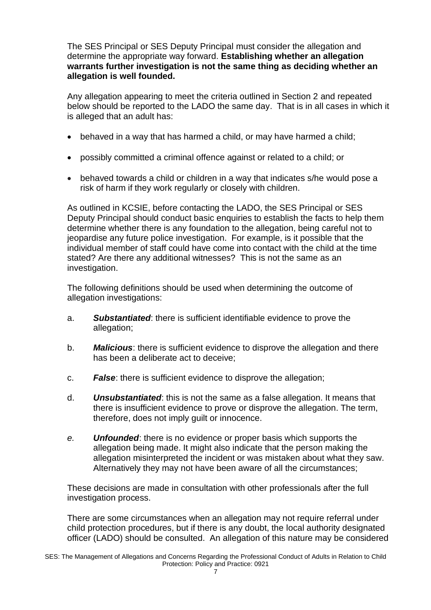The SES Principal or SES Deputy Principal must consider the allegation and determine the appropriate way forward. **Establishing whether an allegation warrants further investigation is not the same thing as deciding whether an allegation is well founded.** 

Any allegation appearing to meet the criteria outlined in Section 2 and repeated below should be reported to the LADO the same day. That is in all cases in which it is alleged that an adult has:

- behaved in a way that has harmed a child, or may have harmed a child;
- possibly committed a criminal offence against or related to a child; or
- behaved towards a child or children in a way that indicates s/he would pose a risk of harm if they work regularly or closely with children.

As outlined in KCSIE, before contacting the LADO, the SES Principal or SES Deputy Principal should conduct basic enquiries to establish the facts to help them determine whether there is any foundation to the allegation, being careful not to jeopardise any future police investigation. For example, is it possible that the individual member of staff could have come into contact with the child at the time stated? Are there any additional witnesses? This is not the same as an investigation.

The following definitions should be used when determining the outcome of allegation investigations:

- a. *Substantiated*: there is sufficient identifiable evidence to prove the allegation;
- b. *Malicious*: there is sufficient evidence to disprove the allegation and there has been a deliberate act to deceive;
- c. *False*: there is sufficient evidence to disprove the allegation;
- d. *Unsubstantiated*: this is not the same as a false allegation. It means that there is insufficient evidence to prove or disprove the allegation. The term, therefore, does not imply guilt or innocence.
- *e. Unfounded*: there is no evidence or proper basis which supports the allegation being made. It might also indicate that the person making the allegation misinterpreted the incident or was mistaken about what they saw. Alternatively they may not have been aware of all the circumstances;

These decisions are made in consultation with other professionals after the full investigation process.

There are some circumstances when an allegation may not require referral under child protection procedures, but if there is any doubt, the local authority designated officer (LADO) should be consulted. An allegation of this nature may be considered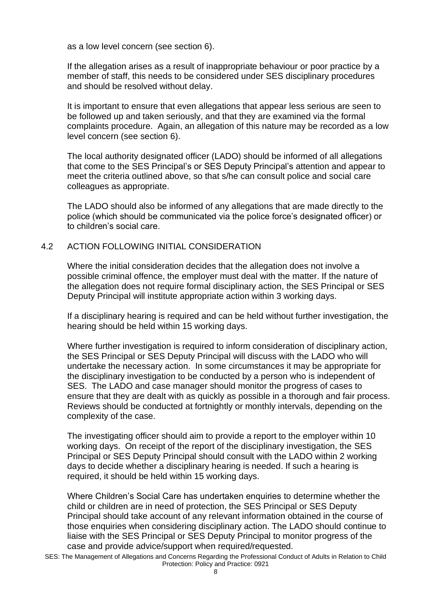as a low level concern (see section 6).

If the allegation arises as a result of inappropriate behaviour or poor practice by a member of staff, this needs to be considered under SES disciplinary procedures and should be resolved without delay.

It is important to ensure that even allegations that appear less serious are seen to be followed up and taken seriously, and that they are examined via the formal complaints procedure. Again, an allegation of this nature may be recorded as a low level concern (see section 6).

The local authority designated officer (LADO) should be informed of all allegations that come to the SES Principal's or SES Deputy Principal's attention and appear to meet the criteria outlined above, so that s/he can consult police and social care colleagues as appropriate.

The LADO should also be informed of any allegations that are made directly to the police (which should be communicated via the police force's designated officer) or to children's social care.

#### 4.2 ACTION FOLLOWING INITIAL CONSIDERATION

Where the initial consideration decides that the allegation does not involve a possible criminal offence, the employer must deal with the matter. If the nature of the allegation does not require formal disciplinary action, the SES Principal or SES Deputy Principal will institute appropriate action within 3 working days.

If a disciplinary hearing is required and can be held without further investigation, the hearing should be held within 15 working days.

Where further investigation is required to inform consideration of disciplinary action, the SES Principal or SES Deputy Principal will discuss with the LADO who will undertake the necessary action. In some circumstances it may be appropriate for the disciplinary investigation to be conducted by a person who is independent of SES. The LADO and case manager should monitor the progress of cases to ensure that they are dealt with as quickly as possible in a thorough and fair process. Reviews should be conducted at fortnightly or monthly intervals, depending on the complexity of the case.

The investigating officer should aim to provide a report to the employer within 10 working days. On receipt of the report of the disciplinary investigation, the SES Principal or SES Deputy Principal should consult with the LADO within 2 working days to decide whether a disciplinary hearing is needed. If such a hearing is required, it should be held within 15 working days.

Where Children's Social Care has undertaken enquiries to determine whether the child or children are in need of protection, the SES Principal or SES Deputy Principal should take account of any relevant information obtained in the course of those enquiries when considering disciplinary action. The LADO should continue to liaise with the SES Principal or SES Deputy Principal to monitor progress of the case and provide advice/support when required/requested.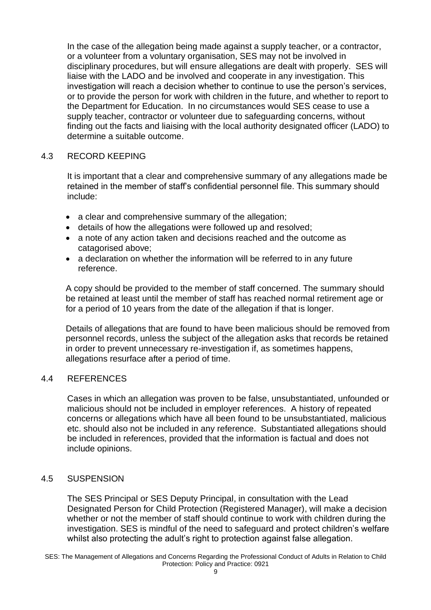In the case of the allegation being made against a supply teacher, or a contractor, or a volunteer from a voluntary organisation, SES may not be involved in disciplinary procedures, but will ensure allegations are dealt with properly. SES will liaise with the LADO and be involved and cooperate in any investigation. This investigation will reach a decision whether to continue to use the person's services, or to provide the person for work with children in the future, and whether to report to the Department for Education. In no circumstances would SES cease to use a supply teacher, contractor or volunteer due to safeguarding concerns, without finding out the facts and liaising with the local authority designated officer (LADO) to determine a suitable outcome.

#### 4.3 RECORD KEEPING

It is important that a clear and comprehensive summary of any allegations made be retained in the member of staff's confidential personnel file. This summary should include:

- a clear and comprehensive summary of the allegation;
- details of how the allegations were followed up and resolved;
- a note of any action taken and decisions reached and the outcome as catagorised above;
- a declaration on whether the information will be referred to in any future reference.

A copy should be provided to the member of staff concerned. The summary should be retained at least until the member of staff has reached normal retirement age or for a period of 10 years from the date of the allegation if that is longer.

Details of allegations that are found to have been malicious should be removed from personnel records, unless the subject of the allegation asks that records be retained in order to prevent unnecessary re-investigation if, as sometimes happens, allegations resurface after a period of time.

#### 4.4 REFERENCES

Cases in which an allegation was proven to be false, unsubstantiated, unfounded or malicious should not be included in employer references. A history of repeated concerns or allegations which have all been found to be unsubstantiated, malicious etc. should also not be included in any reference. Substantiated allegations should be included in references, provided that the information is factual and does not include opinions.

#### 4.5 SUSPENSION

The SES Principal or SES Deputy Principal, in consultation with the Lead Designated Person for Child Protection (Registered Manager), will make a decision whether or not the member of staff should continue to work with children during the investigation. SES is mindful of the need to safeguard and protect children's welfare whilst also protecting the adult's right to protection against false allegation.

SES: The Management of Allegations and Concerns Regarding the Professional Conduct of Adults in Relation to Child Protection: Policy and Practice: 0921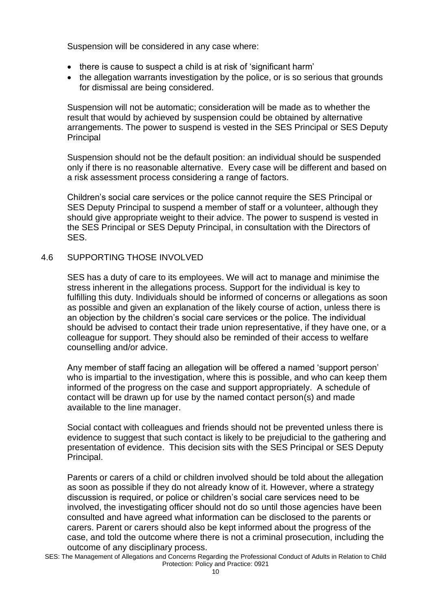Suspension will be considered in any case where:

- there is cause to suspect a child is at risk of 'significant harm'
- the allegation warrants investigation by the police, or is so serious that grounds for dismissal are being considered.

Suspension will not be automatic; consideration will be made as to whether the result that would by achieved by suspension could be obtained by alternative arrangements. The power to suspend is vested in the SES Principal or SES Deputy Principal

Suspension should not be the default position: an individual should be suspended only if there is no reasonable alternative. Every case will be different and based on a risk assessment process considering a range of factors.

Children's social care services or the police cannot require the SES Principal or SES Deputy Principal to suspend a member of staff or a volunteer, although they should give appropriate weight to their advice. The power to suspend is vested in the SES Principal or SES Deputy Principal, in consultation with the Directors of SES.

#### 4.6 SUPPORTING THOSE INVOLVED

SES has a duty of care to its employees. We will act to manage and minimise the stress inherent in the allegations process. Support for the individual is key to fulfilling this duty. Individuals should be informed of concerns or allegations as soon as possible and given an explanation of the likely course of action, unless there is an objection by the children's social care services or the police. The individual should be advised to contact their trade union representative, if they have one, or a colleague for support. They should also be reminded of their access to welfare counselling and/or advice.

Any member of staff facing an allegation will be offered a named 'support person' who is impartial to the investigation, where this is possible, and who can keep them informed of the progress on the case and support appropriately. A schedule of contact will be drawn up for use by the named contact person(s) and made available to the line manager.

Social contact with colleagues and friends should not be prevented unless there is evidence to suggest that such contact is likely to be prejudicial to the gathering and presentation of evidence. This decision sits with the SES Principal or SES Deputy Principal.

Parents or carers of a child or children involved should be told about the allegation as soon as possible if they do not already know of it. However, where a strategy discussion is required, or police or children's social care services need to be involved, the investigating officer should not do so until those agencies have been consulted and have agreed what information can be disclosed to the parents or carers. Parent or carers should also be kept informed about the progress of the case, and told the outcome where there is not a criminal prosecution, including the outcome of any disciplinary process.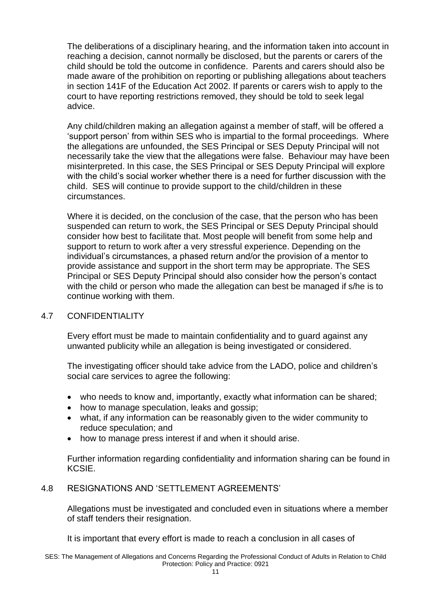The deliberations of a disciplinary hearing, and the information taken into account in reaching a decision, cannot normally be disclosed, but the parents or carers of the child should be told the outcome in confidence. Parents and carers should also be made aware of the prohibition on reporting or publishing allegations about teachers in section 141F of the Education Act 2002. If parents or carers wish to apply to the court to have reporting restrictions removed, they should be told to seek legal advice.

Any child/children making an allegation against a member of staff, will be offered a 'support person' from within SES who is impartial to the formal proceedings. Where the allegations are unfounded, the SES Principal or SES Deputy Principal will not necessarily take the view that the allegations were false. Behaviour may have been misinterpreted. In this case, the SES Principal or SES Deputy Principal will explore with the child's social worker whether there is a need for further discussion with the child. SES will continue to provide support to the child/children in these circumstances.

Where it is decided, on the conclusion of the case, that the person who has been suspended can return to work, the SES Principal or SES Deputy Principal should consider how best to facilitate that. Most people will benefit from some help and support to return to work after a very stressful experience. Depending on the individual's circumstances, a phased return and/or the provision of a mentor to provide assistance and support in the short term may be appropriate. The SES Principal or SES Deputy Principal should also consider how the person's contact with the child or person who made the allegation can best be managed if s/he is to continue working with them.

#### 4.7 CONFIDENTIALITY

Every effort must be made to maintain confidentiality and to guard against any unwanted publicity while an allegation is being investigated or considered.

The investigating officer should take advice from the LADO, police and children's social care services to agree the following:

- who needs to know and, importantly, exactly what information can be shared;
- how to manage speculation, leaks and gossip;
- what, if any information can be reasonably given to the wider community to reduce speculation; and
- how to manage press interest if and when it should arise.

Further information regarding confidentiality and information sharing can be found in KCSIE.

# 4.8 RESIGNATIONS AND 'SETTLEMENT AGREEMENTS'

Allegations must be investigated and concluded even in situations where a member of staff tenders their resignation.

It is important that every effort is made to reach a conclusion in all cases of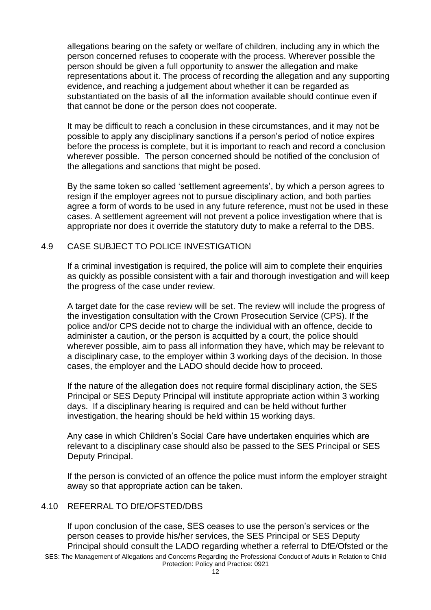allegations bearing on the safety or welfare of children, including any in which the person concerned refuses to cooperate with the process. Wherever possible the person should be given a full opportunity to answer the allegation and make representations about it. The process of recording the allegation and any supporting evidence, and reaching a judgement about whether it can be regarded as substantiated on the basis of all the information available should continue even if that cannot be done or the person does not cooperate.

It may be difficult to reach a conclusion in these circumstances, and it may not be possible to apply any disciplinary sanctions if a person's period of notice expires before the process is complete, but it is important to reach and record a conclusion wherever possible. The person concerned should be notified of the conclusion of the allegations and sanctions that might be posed.

By the same token so called 'settlement agreements', by which a person agrees to resign if the employer agrees not to pursue disciplinary action, and both parties agree a form of words to be used in any future reference, must not be used in these cases. A settlement agreement will not prevent a police investigation where that is appropriate nor does it override the statutory duty to make a referral to the DBS.

#### 4.9 CASE SUBJECT TO POLICE INVESTIGATION

If a criminal investigation is required, the police will aim to complete their enquiries as quickly as possible consistent with a fair and thorough investigation and will keep the progress of the case under review.

A target date for the case review will be set. The review will include the progress of the investigation consultation with the Crown Prosecution Service (CPS). If the police and/or CPS decide not to charge the individual with an offence, decide to administer a caution, or the person is acquitted by a court, the police should wherever possible, aim to pass all information they have, which may be relevant to a disciplinary case, to the employer within 3 working days of the decision. In those cases, the employer and the LADO should decide how to proceed.

If the nature of the allegation does not require formal disciplinary action, the SES Principal or SES Deputy Principal will institute appropriate action within 3 working days. If a disciplinary hearing is required and can be held without further investigation, the hearing should be held within 15 working days.

Any case in which Children's Social Care have undertaken enquiries which are relevant to a disciplinary case should also be passed to the SES Principal or SES Deputy Principal.

If the person is convicted of an offence the police must inform the employer straight away so that appropriate action can be taken.

#### 4.10 REFERRAL TO DfE/OFSTED/DBS

If upon conclusion of the case, SES ceases to use the person's services or the person ceases to provide his/her services, the SES Principal or SES Deputy Principal should consult the LADO regarding whether a referral to DfE/Ofsted or the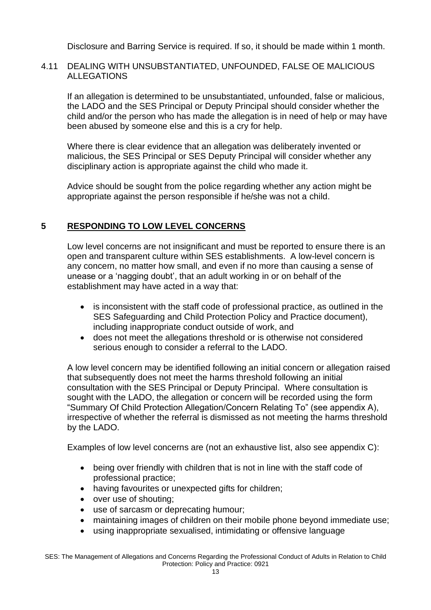Disclosure and Barring Service is required. If so, it should be made within 1 month.

# 4.11 DEALING WITH UNSUBSTANTIATED, UNFOUNDED, FALSE OE MALICIOUS ALLEGATIONS

If an allegation is determined to be unsubstantiated, unfounded, false or malicious, the LADO and the SES Principal or Deputy Principal should consider whether the child and/or the person who has made the allegation is in need of help or may have been abused by someone else and this is a cry for help.

Where there is clear evidence that an allegation was deliberately invented or malicious, the SES Principal or SES Deputy Principal will consider whether any disciplinary action is appropriate against the child who made it.

Advice should be sought from the police regarding whether any action might be appropriate against the person responsible if he/she was not a child.

# **5 RESPONDING TO LOW LEVEL CONCERNS**

Low level concerns are not insignificant and must be reported to ensure there is an open and transparent culture within SES establishments. A low-level concern is any concern, no matter how small, and even if no more than causing a sense of unease or a 'nagging doubt', that an adult working in or on behalf of the establishment may have acted in a way that:

- is inconsistent with the staff code of professional practice, as outlined in the SES Safeguarding and Child Protection Policy and Practice document), including inappropriate conduct outside of work, and
- does not meet the allegations threshold or is otherwise not considered serious enough to consider a referral to the LADO.

A low level concern may be identified following an initial concern or allegation raised that subsequently does not meet the harms threshold following an initial consultation with the SES Principal or Deputy Principal. Where consultation is sought with the LADO, the allegation or concern will be recorded using the form "Summary Of Child Protection Allegation/Concern Relating To" (see appendix A), irrespective of whether the referral is dismissed as not meeting the harms threshold by the LADO.

Examples of low level concerns are (not an exhaustive list, also see appendix C):

- being over friendly with children that is not in line with the staff code of professional practice;
- having favourites or unexpected gifts for children;
- over use of shouting;
- use of sarcasm or deprecating humour;
- maintaining images of children on their mobile phone beyond immediate use;
- using inappropriate sexualised, intimidating or offensive language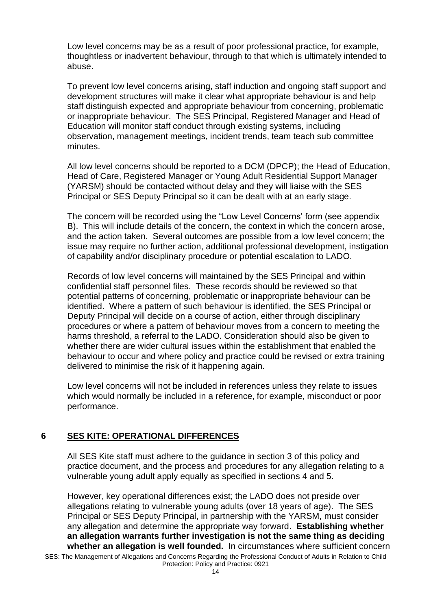Low level concerns may be as a result of poor professional practice, for example, thoughtless or inadvertent behaviour, through to that which is ultimately intended to abuse.

To prevent low level concerns arising, staff induction and ongoing staff support and development structures will make it clear what appropriate behaviour is and help staff distinguish expected and appropriate behaviour from concerning, problematic or inappropriate behaviour. The SES Principal, Registered Manager and Head of Education will monitor staff conduct through existing systems, including observation, management meetings, incident trends, team teach sub committee minutes.

All low level concerns should be reported to a DCM (DPCP); the Head of Education, Head of Care, Registered Manager or Young Adult Residential Support Manager (YARSM) should be contacted without delay and they will liaise with the SES Principal or SES Deputy Principal so it can be dealt with at an early stage.

The concern will be recorded using the "Low Level Concerns' form (see appendix B). This will include details of the concern, the context in which the concern arose, and the action taken. Several outcomes are possible from a low level concern; the issue may require no further action, additional professional development, instigation of capability and/or disciplinary procedure or potential escalation to LADO.

Records of low level concerns will maintained by the SES Principal and within confidential staff personnel files. These records should be reviewed so that potential patterns of concerning, problematic or inappropriate behaviour can be identified. Where a pattern of such behaviour is identified, the SES Principal or Deputy Principal will decide on a course of action, either through disciplinary procedures or where a pattern of behaviour moves from a concern to meeting the harms threshold, a referral to the LADO. Consideration should also be given to whether there are wider cultural issues within the establishment that enabled the behaviour to occur and where policy and practice could be revised or extra training delivered to minimise the risk of it happening again.

Low level concerns will not be included in references unless they relate to issues which would normally be included in a reference, for example, misconduct or poor performance.

# **6 SES KITE: OPERATIONAL DIFFERENCES**

All SES Kite staff must adhere to the guidance in section 3 of this policy and practice document, and the process and procedures for any allegation relating to a vulnerable young adult apply equally as specified in sections 4 and 5.

SES: The Management of Allegations and Concerns Regarding the Professional Conduct of Adults in Relation to Child Protection: Policy and Practice: 0921 However, key operational differences exist; the LADO does not preside over allegations relating to vulnerable young adults (over 18 years of age). The SES Principal or SES Deputy Principal, in partnership with the YARSM, must consider any allegation and determine the appropriate way forward. **Establishing whether an allegation warrants further investigation is not the same thing as deciding whether an allegation is well founded.** In circumstances where sufficient concern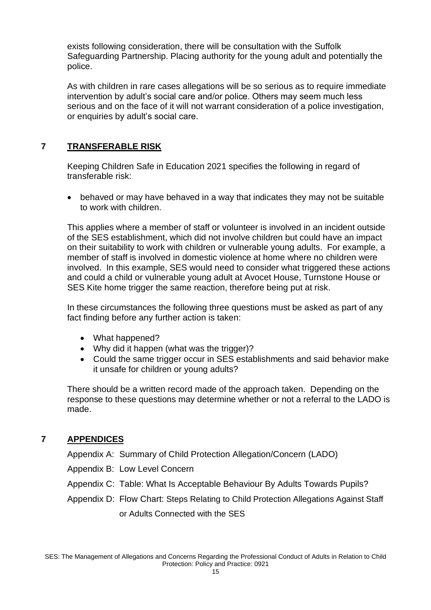exists following consideration, there will be consultation with the Suffolk Safeguarding Partnership. Placing authority for the young adult and potentially the police.

As with children in rare cases allegations will be so serious as to require immediate intervention by adult's social care and/or police. Others may seem much less serious and on the face of it will not warrant consideration of a police investigation, or enquiries by adult's social care.

# **7 TRANSFERABLE RISK**

Keeping Children Safe in Education 2021 specifies the following in regard of transferable risk:

• behaved or may have behaved in a way that indicates they may not be suitable to work with children.

This applies where a member of staff or volunteer is involved in an incident outside of the SES establishment, which did not involve children but could have an impact on their suitability to work with children or vulnerable young adults. For example, a member of staff is involved in domestic violence at home where no children were involved. In this example, SES would need to consider what triggered these actions and could a child or vulnerable young adult at Avocet House, Turnstone House or SES Kite home trigger the same reaction, therefore being put at risk.

In these circumstances the following three questions must be asked as part of any fact finding before any further action is taken:

- What happened?
- Why did it happen (what was the trigger)?
- Could the same trigger occur in SES establishments and said behavior make it unsafe for children or young adults?

There should be a written record made of the approach taken. Depending on the response to these questions may determine whether or not a referral to the LADO is made.

# **7 APPENDICES**

Appendix A: Summary of Child Protection Allegation/Concern (LADO)

Appendix B: Low Level Concern

Appendix C: Table: What Is Acceptable Behaviour By Adults Towards Pupils?

Appendix D: Flow Chart: Steps Relating to Child Protection Allegations Against Staff or Adults Connected with the SES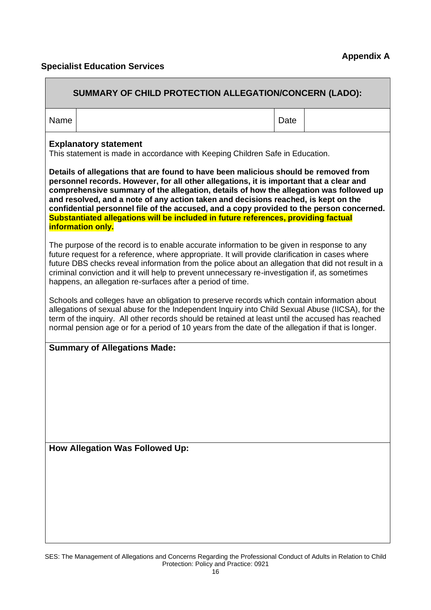# **Specialist Education Services**

| SUMMARY OF CHILD PROTECTION ALLEGATION/CONCERN (LADO):                                                                                                                                                                                                                                                                                                                                                                                                                                                                                                                |      |  |  |  |  |  |
|-----------------------------------------------------------------------------------------------------------------------------------------------------------------------------------------------------------------------------------------------------------------------------------------------------------------------------------------------------------------------------------------------------------------------------------------------------------------------------------------------------------------------------------------------------------------------|------|--|--|--|--|--|
| Name                                                                                                                                                                                                                                                                                                                                                                                                                                                                                                                                                                  | Date |  |  |  |  |  |
| <b>Explanatory statement</b><br>This statement is made in accordance with Keeping Children Safe in Education.                                                                                                                                                                                                                                                                                                                                                                                                                                                         |      |  |  |  |  |  |
| Details of allegations that are found to have been malicious should be removed from<br>personnel records. However, for all other allegations, it is important that a clear and<br>comprehensive summary of the allegation, details of how the allegation was followed up<br>and resolved, and a note of any action taken and decisions reached, is kept on the<br>confidential personnel file of the accused, and a copy provided to the person concerned.<br>Substantiated allegations will be included in future references, providing factual<br>information only. |      |  |  |  |  |  |
| The purpose of the record is to enable accurate information to be given in response to any<br>future request for a reference, where appropriate. It will provide clarification in cases where<br>future DBS checks reveal information from the police about an allegation that did not result in a<br>criminal conviction and it will help to prevent unnecessary re-investigation if, as sometimes<br>happens, an allegation re-surfaces after a period of time.                                                                                                     |      |  |  |  |  |  |
| Schools and colleges have an obligation to preserve records which contain information about<br>allegations of sexual abuse for the Independent Inquiry into Child Sexual Abuse (IICSA), for the<br>term of the inquiry. All other records should be retained at least until the accused has reached<br>normal pension age or for a period of 10 years from the date of the allegation if that is longer.                                                                                                                                                              |      |  |  |  |  |  |
| <b>Summary of Allegations Made:</b>                                                                                                                                                                                                                                                                                                                                                                                                                                                                                                                                   |      |  |  |  |  |  |
| <b>How Allegation Was Followed Up:</b>                                                                                                                                                                                                                                                                                                                                                                                                                                                                                                                                |      |  |  |  |  |  |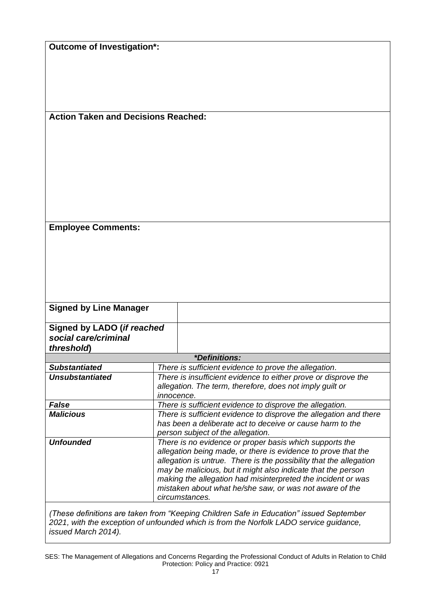**Action Taken and Decisions Reached:**

**Employee Comments:**

| <b>Signed by Line Manager</b>                                    |                                                                                                                                                 |                                                                                                                                                                                                                                                                                                                                                                                                             |  |
|------------------------------------------------------------------|-------------------------------------------------------------------------------------------------------------------------------------------------|-------------------------------------------------------------------------------------------------------------------------------------------------------------------------------------------------------------------------------------------------------------------------------------------------------------------------------------------------------------------------------------------------------------|--|
| Signed by LADO (if reached<br>social care/criminal<br>threshold) |                                                                                                                                                 |                                                                                                                                                                                                                                                                                                                                                                                                             |  |
|                                                                  |                                                                                                                                                 | <i>*Definitions:</i>                                                                                                                                                                                                                                                                                                                                                                                        |  |
| <b>Substantiated</b>                                             |                                                                                                                                                 | There is sufficient evidence to prove the allegation.                                                                                                                                                                                                                                                                                                                                                       |  |
| <b>Unsubstantiated</b>                                           | There is insufficient evidence to either prove or disprove the<br>allegation. The term, therefore, does not imply guilt or<br><i>innocence.</i> |                                                                                                                                                                                                                                                                                                                                                                                                             |  |
| <b>False</b>                                                     |                                                                                                                                                 | There is sufficient evidence to disprove the allegation.                                                                                                                                                                                                                                                                                                                                                    |  |
| <b>Malicious</b>                                                 |                                                                                                                                                 | There is sufficient evidence to disprove the allegation and there<br>has been a deliberate act to deceive or cause harm to the<br>person subject of the allegation.                                                                                                                                                                                                                                         |  |
| <b>Unfounded</b>                                                 |                                                                                                                                                 | There is no evidence or proper basis which supports the<br>allegation being made, or there is evidence to prove that the<br>allegation is untrue. There is the possibility that the allegation<br>may be malicious, but it might also indicate that the person<br>making the allegation had misinterpreted the incident or was<br>mistaken about what he/she saw, or was not aware of the<br>circumstances. |  |

*(These definitions are taken from "Keeping Children Safe in Education" issued September 2021, with the exception of unfounded which is from the Norfolk LADO service guidance, issued March 2014).*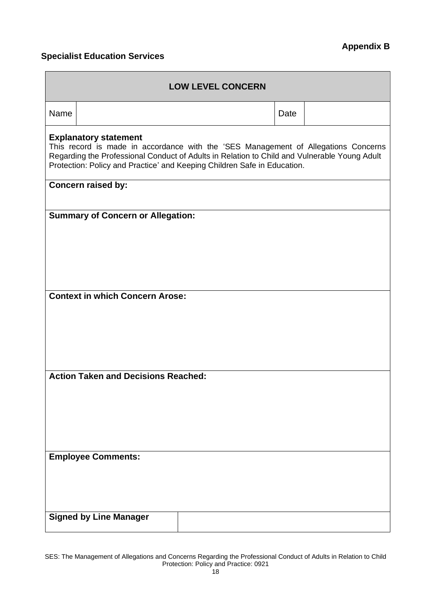# **Specialist Education Services**

| <b>LOW LEVEL CONCERN</b>                                                                                                                                                                                                                                                                       |                                          |  |      |  |  |  |  |
|------------------------------------------------------------------------------------------------------------------------------------------------------------------------------------------------------------------------------------------------------------------------------------------------|------------------------------------------|--|------|--|--|--|--|
| Name                                                                                                                                                                                                                                                                                           |                                          |  | Date |  |  |  |  |
| <b>Explanatory statement</b><br>This record is made in accordance with the 'SES Management of Allegations Concerns<br>Regarding the Professional Conduct of Adults in Relation to Child and Vulnerable Young Adult<br>Protection: Policy and Practice' and Keeping Children Safe in Education. |                                          |  |      |  |  |  |  |
| Concern raised by:                                                                                                                                                                                                                                                                             |                                          |  |      |  |  |  |  |
|                                                                                                                                                                                                                                                                                                | <b>Summary of Concern or Allegation:</b> |  |      |  |  |  |  |
|                                                                                                                                                                                                                                                                                                |                                          |  |      |  |  |  |  |
|                                                                                                                                                                                                                                                                                                |                                          |  |      |  |  |  |  |
|                                                                                                                                                                                                                                                                                                | <b>Context in which Concern Arose:</b>   |  |      |  |  |  |  |
|                                                                                                                                                                                                                                                                                                |                                          |  |      |  |  |  |  |
|                                                                                                                                                                                                                                                                                                |                                          |  |      |  |  |  |  |
|                                                                                                                                                                                                                                                                                                |                                          |  |      |  |  |  |  |
| <b>Action Taken and Decisions Reached:</b>                                                                                                                                                                                                                                                     |                                          |  |      |  |  |  |  |
|                                                                                                                                                                                                                                                                                                |                                          |  |      |  |  |  |  |
|                                                                                                                                                                                                                                                                                                |                                          |  |      |  |  |  |  |
|                                                                                                                                                                                                                                                                                                | <b>Employee Comments:</b>                |  |      |  |  |  |  |
|                                                                                                                                                                                                                                                                                                |                                          |  |      |  |  |  |  |
|                                                                                                                                                                                                                                                                                                |                                          |  |      |  |  |  |  |
|                                                                                                                                                                                                                                                                                                | <b>Signed by Line Manager</b>            |  |      |  |  |  |  |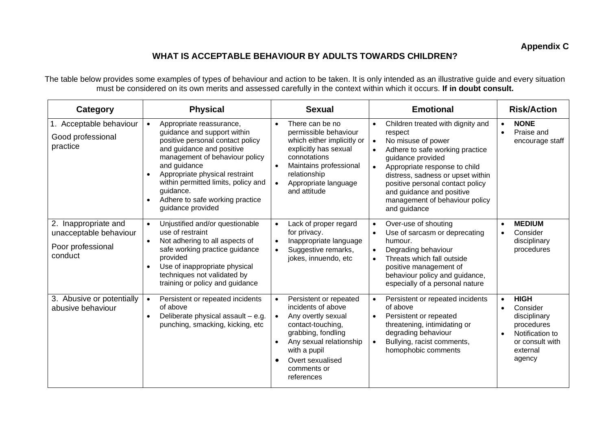# **WHAT IS ACCEPTABLE BEHAVIOUR BY ADULTS TOWARDS CHILDREN?**

The table below provides some examples of types of behaviour and action to be taken. It is only intended as an illustrative guide and every situation must be considered on its own merits and assessed carefully in the context within which it occurs. **If in doubt consult.**

| Category                                                                       | <b>Physical</b>                                                                                                                                                                                                                                                                                                                                    | <b>Sexual</b>                                                                                                                                                                                                               | <b>Emotional</b>                                                                                                                                                                                                                                                                                                                                           | <b>Risk/Action</b>                                                                                                             |  |
|--------------------------------------------------------------------------------|----------------------------------------------------------------------------------------------------------------------------------------------------------------------------------------------------------------------------------------------------------------------------------------------------------------------------------------------------|-----------------------------------------------------------------------------------------------------------------------------------------------------------------------------------------------------------------------------|------------------------------------------------------------------------------------------------------------------------------------------------------------------------------------------------------------------------------------------------------------------------------------------------------------------------------------------------------------|--------------------------------------------------------------------------------------------------------------------------------|--|
| 1. Acceptable behaviour<br>Good professional<br>practice                       | Appropriate reassurance,<br>$\bullet$<br>guidance and support within<br>positive personal contact policy<br>and guidance and positive<br>management of behaviour policy<br>and guidance<br>Appropriate physical restraint<br>$\bullet$<br>within permitted limits, policy and<br>guidance.<br>Adhere to safe working practice<br>guidance provided | There can be no<br>$\bullet$<br>permissible behaviour<br>which either implicitly or<br>explicitly has sexual<br>connotations<br>Maintains professional<br>relationship<br>Appropriate language<br>$\bullet$<br>and attitude | Children treated with dignity and<br>$\bullet$<br>respect<br>No misuse of power<br>$\bullet$<br>Adhere to safe working practice<br>$\bullet$<br>guidance provided<br>Appropriate response to child<br>distress, sadness or upset within<br>positive personal contact policy<br>and guidance and positive<br>management of behaviour policy<br>and guidance | <b>NONE</b><br>$\bullet$<br>Praise and<br>$\bullet$<br>encourage staff                                                         |  |
| 2. Inappropriate and<br>unacceptable behaviour<br>Poor professional<br>conduct | Unjustified and/or questionable<br>$\bullet$<br>use of restraint<br>Not adhering to all aspects of<br>safe working practice guidance<br>provided<br>Use of inappropriate physical<br>$\bullet$<br>techniques not validated by<br>training or policy and guidance                                                                                   | Lack of proper regard<br>$\bullet$<br>for privacy.<br>Inappropriate language<br>Suggestive remarks,<br>jokes, innuendo, etc                                                                                                 | Over-use of shouting<br>$\bullet$<br>Use of sarcasm or deprecating<br>humour.<br>Degrading behaviour<br>$\bullet$<br>Threats which fall outside<br>$\bullet$<br>positive management of<br>behaviour policy and guidance,<br>especially of a personal nature                                                                                                | <b>MEDIUM</b><br>Consider<br>disciplinary<br>procedures                                                                        |  |
| 3. Abusive or potentially<br>abusive behaviour                                 | Persistent or repeated incidents<br>$\bullet$<br>of above<br>Deliberate physical assault - e.g.<br>$\bullet$<br>punching, smacking, kicking, etc                                                                                                                                                                                                   | Persistent or repeated<br>incidents of above<br>Any overtly sexual<br>contact-touching,<br>grabbing, fondling<br>Any sexual relationship<br>with a pupil<br>Overt sexualised<br>comments or<br>references                   | Persistent or repeated incidents<br>$\bullet$<br>of above<br>Persistent or repeated<br>$\bullet$<br>threatening, intimidating or<br>degrading behaviour<br>Bullying, racist comments,<br>homophobic comments                                                                                                                                               | <b>HIGH</b><br>$\bullet$<br>Consider<br>disciplinary<br>procedures<br>Notification to<br>or consult with<br>external<br>agency |  |